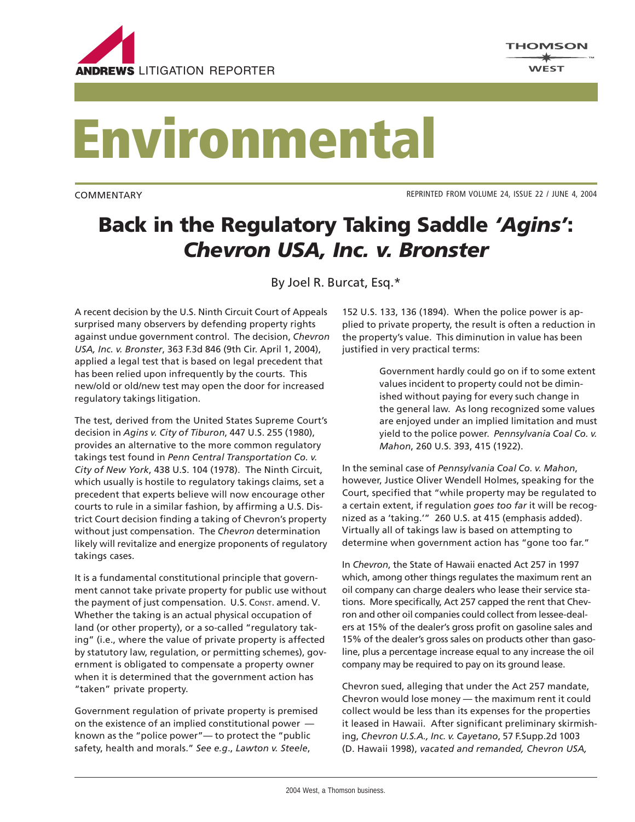

## **Environmental**

COMMENTARY

REPRINTED FROM VOLUME 24, ISSUE 22 / JUNE 4, 2004

## **Back in the Regulatory Taking Saddle** *'Agins'***:** *Chevron USA, Inc. v. Bronster*

By Joel R. Burcat, Esq.\*

A recent decision by the U.S. Ninth Circuit Court of Appeals surprised many observers by defending property rights against undue government control. The decision, *Chevron USA, Inc. v. Bronster*, 363 F.3d 846 (9th Cir. April 1, 2004), applied a legal test that is based on legal precedent that has been relied upon infrequently by the courts. This new/old or old/new test may open the door for increased regulatory takings litigation.

The test, derived from the United States Supreme Court's decision in *Agins v. City of Tiburon*, 447 U.S. 255 (1980), provides an alternative to the more common regulatory takings test found in *Penn Central Transportation Co. v. City of New York*, 438 U.S. 104 (1978). The Ninth Circuit, which usually is hostile to regulatory takings claims, set a precedent that experts believe will now encourage other courts to rule in a similar fashion, by affirming a U.S. District Court decision finding a taking of Chevron's property without just compensation. The *Chevron* determination likely will revitalize and energize proponents of regulatory takings cases.

It is a fundamental constitutional principle that government cannot take private property for public use without the payment of just compensation. U.S. CONST. amend. V. Whether the taking is an actual physical occupation of land (or other property), or a so-called "regulatory taking" (i.e., where the value of private property is affected by statutory law, regulation, or permitting schemes), government is obligated to compensate a property owner when it is determined that the government action has "taken" private property.

Government regulation of private property is premised on the existence of an implied constitutional power known as the "police power"— to protect the "public safety, health and morals." *See e.g*., *Lawton v. Steele*,

152 U.S. 133, 136 (1894). When the police power is applied to private property, the result is often a reduction in the property's value. This diminution in value has been justified in very practical terms:

> Government hardly could go on if to some extent values incident to property could not be diminished without paying for every such change in the general law. As long recognized some values are enjoyed under an implied limitation and must yield to the police power. *Pennsylvania Coal Co. v. Mahon*, 260 U.S. 393, 415 (1922).

In the seminal case of *Pennsylvania Coal Co. v. Mahon*, however, Justice Oliver Wendell Holmes, speaking for the Court, specified that "while property may be regulated to a certain extent, if regulation *goes too far* it will be recognized as a 'taking.'" 260 U.S. at 415 (emphasis added). Virtually all of takings law is based on attempting to determine when government action has "gone too far."

In *Chevron*, the State of Hawaii enacted Act 257 in 1997 which, among other things regulates the maximum rent an oil company can charge dealers who lease their service stations. More specifically, Act 257 capped the rent that Chevron and other oil companies could collect from lessee-dealers at 15% of the dealer's gross profit on gasoline sales and 15% of the dealer's gross sales on products other than gasoline, plus a percentage increase equal to any increase the oil company may be required to pay on its ground lease.

Chevron sued, alleging that under the Act 257 mandate, Chevron would lose money — the maximum rent it could collect would be less than its expenses for the properties it leased in Hawaii. After significant preliminary skirmishing, *Chevron U.S.A., Inc. v. Cayetano*, 57 F.Supp.2d 1003 (D. Hawaii 1998), *vacated and remanded, Chevron USA,*